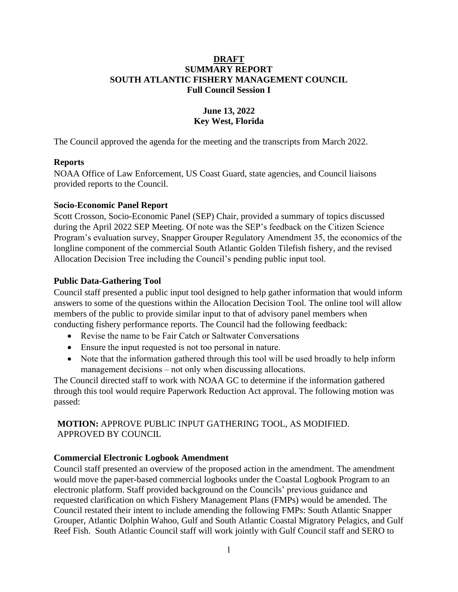### **DRAFT SUMMARY REPORT SOUTH ATLANTIC FISHERY MANAGEMENT COUNCIL Full Council Session I**

## **June 13, 2022 Key West, Florida**

The Council approved the agenda for the meeting and the transcripts from March 2022.

### **Reports**

NOAA Office of Law Enforcement, US Coast Guard, state agencies, and Council liaisons provided reports to the Council.

#### **Socio-Economic Panel Report**

Scott Crosson, Socio-Economic Panel (SEP) Chair, provided a summary of topics discussed during the April 2022 SEP Meeting. Of note was the SEP's feedback on the Citizen Science Program's evaluation survey, Snapper Grouper Regulatory Amendment 35, the economics of the longline component of the commercial South Atlantic Golden Tilefish fishery, and the revised Allocation Decision Tree including the Council's pending public input tool.

### **Public Data-Gathering Tool**

Council staff presented a public input tool designed to help gather information that would inform answers to some of the questions within the Allocation Decision Tool. The online tool will allow members of the public to provide similar input to that of advisory panel members when conducting fishery performance reports. The Council had the following feedback:

- Revise the name to be Fair Catch or Saltwater Conversations
- Ensure the input requested is not too personal in nature.
- Note that the information gathered through this tool will be used broadly to help inform management decisions – not only when discussing allocations.

The Council directed staff to work with NOAA GC to determine if the information gathered through this tool would require Paperwork Reduction Act approval. The following motion was passed:

### **MOTION:** APPROVE PUBLIC INPUT GATHERING TOOL, AS MODIFIED. APPROVED BY COUNCIL

### **Commercial Electronic Logbook Amendment**

Council staff presented an overview of the proposed action in the amendment. The amendment would move the paper-based commercial logbooks under the Coastal Logbook Program to an electronic platform. Staff provided background on the Councils' previous guidance and requested clarification on which Fishery Management Plans (FMPs) would be amended. The Council restated their intent to include amending the following FMPs: South Atlantic Snapper Grouper, Atlantic Dolphin Wahoo, Gulf and South Atlantic Coastal Migratory Pelagics, and Gulf Reef Fish. South Atlantic Council staff will work jointly with Gulf Council staff and SERO to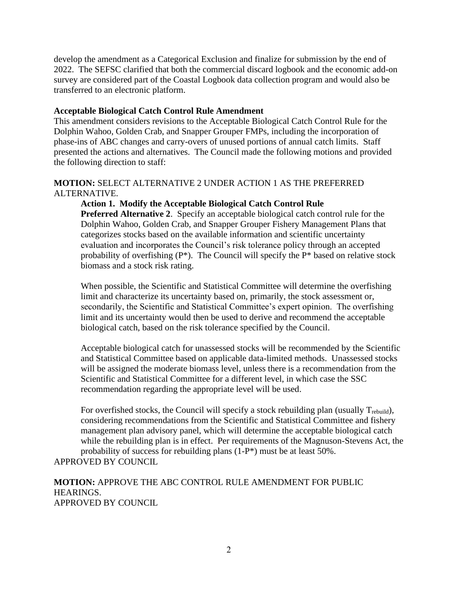develop the amendment as a Categorical Exclusion and finalize for submission by the end of 2022. The SEFSC clarified that both the commercial discard logbook and the economic add-on survey are considered part of the Coastal Logbook data collection program and would also be transferred to an electronic platform.

### **Acceptable Biological Catch Control Rule Amendment**

This amendment considers revisions to the Acceptable Biological Catch Control Rule for the Dolphin Wahoo, Golden Crab, and Snapper Grouper FMPs, including the incorporation of phase-ins of ABC changes and carry-overs of unused portions of annual catch limits. Staff presented the actions and alternatives. The Council made the following motions and provided the following direction to staff:

### **MOTION:** SELECT ALTERNATIVE 2 UNDER ACTION 1 AS THE PREFERRED ALTERNATIVE.

**Action 1. Modify the Acceptable Biological Catch Control Rule Preferred Alternative 2**. Specify an acceptable biological catch control rule for the Dolphin Wahoo, Golden Crab, and Snapper Grouper Fishery Management Plans that categorizes stocks based on the available information and scientific uncertainty evaluation and incorporates the Council's risk tolerance policy through an accepted probability of overfishing  $(P^*)$ . The Council will specify the  $P^*$  based on relative stock biomass and a stock risk rating.

When possible, the Scientific and Statistical Committee will determine the overfishing limit and characterize its uncertainty based on, primarily, the stock assessment or, secondarily, the Scientific and Statistical Committee's expert opinion. The overfishing limit and its uncertainty would then be used to derive and recommend the acceptable biological catch, based on the risk tolerance specified by the Council.

Acceptable biological catch for unassessed stocks will be recommended by the Scientific and Statistical Committee based on applicable data-limited methods. Unassessed stocks will be assigned the moderate biomass level, unless there is a recommendation from the Scientific and Statistical Committee for a different level, in which case the SSC recommendation regarding the appropriate level will be used.

For overfished stocks, the Council will specify a stock rebuilding plan (usually  $T_{\text{rebuild}}$ ), considering recommendations from the Scientific and Statistical Committee and fishery management plan advisory panel, which will determine the acceptable biological catch while the rebuilding plan is in effect. Per requirements of the Magnuson-Stevens Act, the probability of success for rebuilding plans (1-P\*) must be at least 50%.

APPROVED BY COUNCIL

**MOTION:** APPROVE THE ABC CONTROL RULE AMENDMENT FOR PUBLIC HEARINGS. APPROVED BY COUNCIL